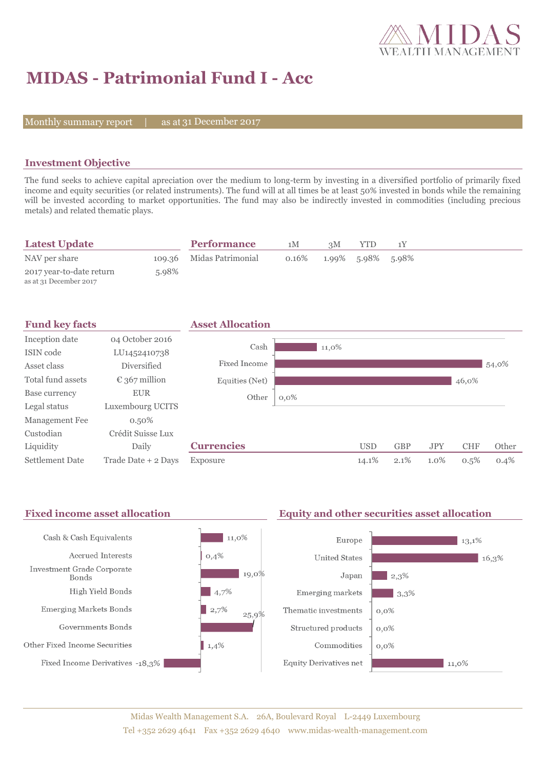

# **MIDAS - Patrimonial Fund I - Acc**

Monthly summary report  $|$ 

as at 31 December 2017

### **Investment Objective**

The fund seeks to achieve capital apreciation over the medium to long-term by investing in a diversified portfolio of primarily fixed income and equity securities (or related instruments). The fund will at all times be at least 50% invested in bonds while the remaining will be invested according to market opportunities. The fund may also be indirectly invested in commodities (including precious metals) and related thematic plays.

| <b>Latest Update</b>                               |       | <b>Performance</b>       | 1M    | 3M                | YTD |  |  |
|----------------------------------------------------|-------|--------------------------|-------|-------------------|-----|--|--|
| NAV per share                                      |       | 109.36 Midas Patrimonial | 0.16% | 1.99% 5.98% 5.98% |     |  |  |
| 2017 year-to-date return<br>as at 31 December 2017 | 5.98% |                          |       |                   |     |  |  |

| <b>Fund key facts</b>  |                        | <b>Asset Allocation</b> |         |            |            |            |            |       |
|------------------------|------------------------|-------------------------|---------|------------|------------|------------|------------|-------|
| Inception date         | 04 October 2016        | Cash                    |         |            |            |            |            |       |
| ISIN code              | LU1452410738           |                         | 11,0%   |            |            |            |            |       |
| Asset class            | <b>Diversified</b>     | Fixed Income            |         |            |            |            |            | 54,0% |
| Total fund assets      | $\epsilon$ 367 million | Equities (Net)          |         |            |            |            | 46,0%      |       |
| Base currency          | <b>EUR</b>             | Other                   | $0,0\%$ |            |            |            |            |       |
| Legal status           | Luxembourg UCITS       |                         |         |            |            |            |            |       |
| Management Fee         | $0.50\%$               |                         |         |            |            |            |            |       |
| Custodian              | Crédit Suisse Lux      |                         |         |            |            |            |            |       |
| Liquidity              | Daily                  | <b>Currencies</b>       |         | <b>USD</b> | <b>GBP</b> | <b>JPY</b> | <b>CHF</b> | Other |
| <b>Settlement Date</b> | Trade Date + 2 Days    | Exposure                |         | 14.1%      | 2.1%       | $1.0\%$    | 0.5%       | 0.4%  |

#### Fixed income asset allocation **Equity and other securities asset allocation** Cash & Cash Equivalents  $11,0\%$ Europe  $13,1%$ Accrued Interests  $0,4%$ **United States**  $16,3%$ Investment Grade Corporate 19,0% Japan  $\blacksquare$  2,3% **Bonds** High Yield Bonds  $|4,7\%$ Emerging markets  $-3,3%$ Emerging Markets Bonds  $|2,7\%$  $0,0\%$ Thematic investments 25,9% Governments Bonds Structured products  $0,0\%$ Other Fixed Income Securities  $1,4%$ Commodities  $0.0\%$ Fixed Income Derivatives -18,3% **Equity Derivatives net**  $11,0\%$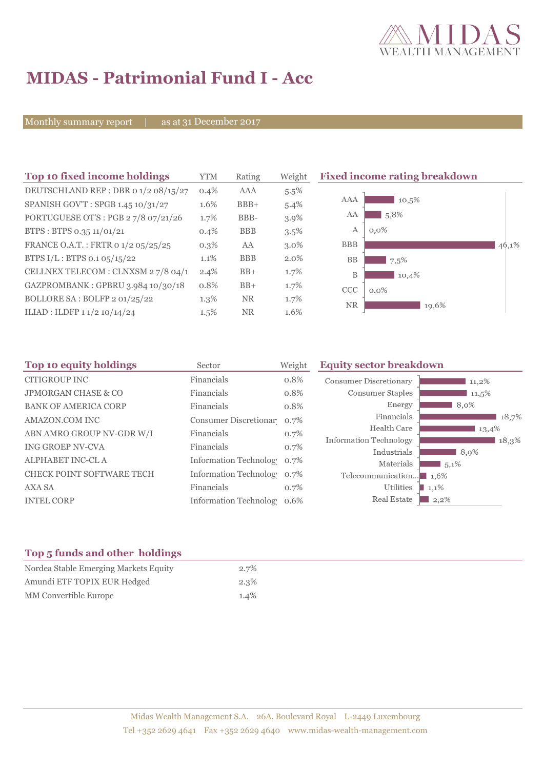

# **MIDAS - Patrimonial Fund I - Acc**

Monthly summary report | as at 31 December 2017

| Top 10 fixed income holdings         | <b>YTM</b> | Rating     | Weight  | <b>Fixed income rating breakdown</b> |       |
|--------------------------------------|------------|------------|---------|--------------------------------------|-------|
| DEUTSCHLAND REP : DBR 0 1/2 08/15/27 | $0.4\%$    | AAA        | $5.5\%$ |                                      |       |
| SPANISH GOV'T: SPGB 1.45 10/31/27    | 1.6%       | $BBB+$     | 5.4%    | AAA<br>$10,5\%$                      |       |
| PORTUGUESE OT'S : PGB 27/8 07/21/26  | 1.7%       | BBB-       | 3.9%    | AA<br>5,8%                           |       |
| BTPS: BTPS 0.35 11/01/21             | $0.4\%$    | <b>BBB</b> | $3.5\%$ | $0,0\%$<br>А                         |       |
| FRANCE O.A.T.: FRTR 0 1/2 05/25/25   | $0.3\%$    | AA         | $3.0\%$ | <b>BBB</b>                           | 46,1% |
| BTPS I/L: BTPS 0.1 05/15/22          | $1.1\%$    | <b>BBB</b> | $2.0\%$ | <b>BB</b><br>7,5%                    |       |
| CELLNEX TELECOM : CLNXSM 27/8 04/1   | $2.4\%$    | $BB+$      | $1.7\%$ | B<br>10,4%                           |       |
| GAZPROMBANK: GPBRU 3.984 10/30/18    | 0.8%       | $BB+$      | 1.7%    | CCC<br>$0,0\%$                       |       |
| BOLLORE SA: BOLFP 2 01/25/22         | $1.3\%$    | <b>NR</b>  | $1.7\%$ | <b>NR</b><br>19,6%                   |       |
| ILIAD : ILDFP 1 1/2 10/14/24         | $1.5\%$    | NR.        | 1.6%    |                                      |       |

| Sector     | Weight | <b>Equity sector breakdown</b>                                                                                                                       |                                                                                             |
|------------|--------|------------------------------------------------------------------------------------------------------------------------------------------------------|---------------------------------------------------------------------------------------------|
| Financials | 0.8%   | <b>Consumer Discretionary</b><br>$11,2\%$                                                                                                            |                                                                                             |
| Financials | 0.8%   | Consumer Staples<br>11,5%                                                                                                                            |                                                                                             |
| Financials | 0.8%   | Energy<br>$8,0\%$                                                                                                                                    |                                                                                             |
|            |        | Financials                                                                                                                                           | 18,7%                                                                                       |
| Financials |        | 13,4%                                                                                                                                                |                                                                                             |
| Financials |        |                                                                                                                                                      | 18,3%                                                                                       |
|            |        |                                                                                                                                                      |                                                                                             |
|            |        |                                                                                                                                                      |                                                                                             |
|            | 0.7%   | Telecommunication<br>1,6%                                                                                                                            |                                                                                             |
| Financials | 0.7%   | Utilities<br>$1,1\%$                                                                                                                                 |                                                                                             |
|            | 0.6%   | Real Estate<br>$2,2\%$                                                                                                                               |                                                                                             |
|            |        | Consumer Discretionar 0.7%<br>0.7%<br>0.7%<br><b>Information Technolog</b><br>0.7%<br><b>Information Technology</b><br><b>Information Technology</b> | Health Care<br><b>Information Technology</b><br>Industrials<br>8,9%<br>Materials<br>$5,1\%$ |

## **Top 5 funds and other holdings**

| Nordea Stable Emerging Markets Equity | $2.7\%$ |
|---------------------------------------|---------|
| Amundi ETF TOPIX EUR Hedged           | $2.3\%$ |
| MM Convertible Europe                 | $1.4\%$ |